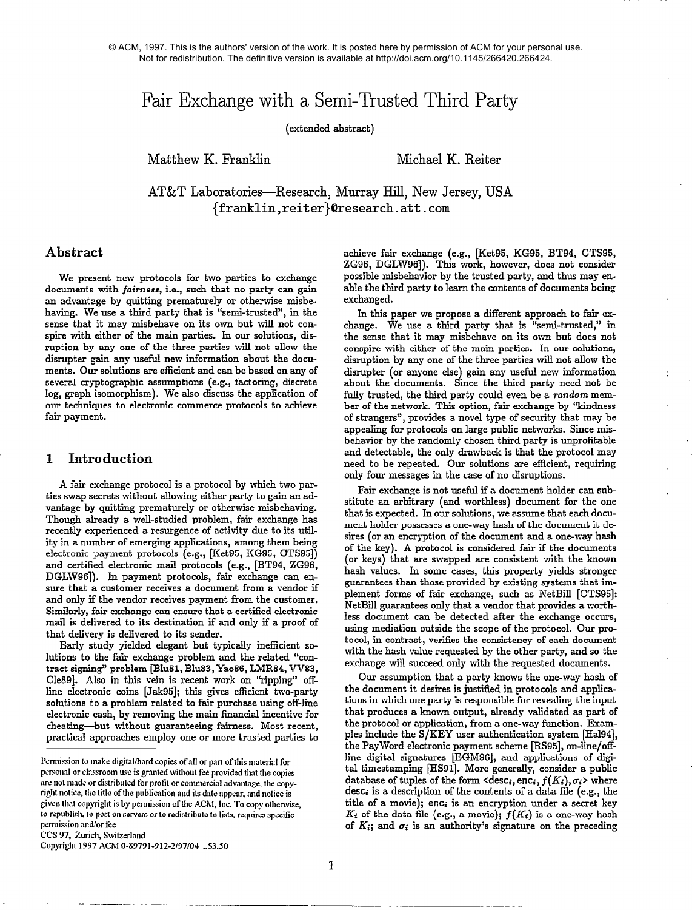© ACM, 1997. This is the authors' version of the work. It is posted here by permission of ACM for your personal use. Not for redistribution. The definitive version is available at http://doi.acm.org/10.1145/266420.266424.

# Fair Exchange with a Semi-Trusted Third Party

(extended abstract)

Matthew K. Franklin Michael K. Reiter

AT&T Laboratories-Research, Murray Hill, New Jersey, USA {franklin,reiter}Qresearch.att.com

# **Abstract**

We present new protocols for two parties to exchange documents with **fairness,** i.e., such that no party can gain an advantage by quitting prematurely or otherwise misbehaving. We use a third party that is "semi-trusted", in the sense that it may misbehave on its own but will not conspire with either of the main parties. In our solutions, disruption by any one of the three parties will not allow the disrupter gain any useful new information about the documents. Our solutions are efficient and can be based on any of several cryptographic assumptions (e.g., factoring, discrete log, graph isomorpbism). We also discuss the application of our techniques to electronic commerce protocols to achieve fair payment.

## **1 Introduction**

A fair exchange protocol is a protocol by which two parties swap secrets without allowing either party to gain an advantage by quitting prematurely or otherwise misbehaving. Though already a well-studied problem, fair exchange has recently experienced a resurgence of activity due to its utility in a number of emerging applications, among them being electronic payment protocols (e.g., [Ket95, KG95, CTS95]) and certified electronic mail protocols (e.g., [BT94, ZG96, DGLW96]). In payment protocols, fair exchange can ensure that a customer receives a document from a vendor if and only if the vendor receives payment from the customer. Similarly, fair exchange can ensure that a certified electronic mail is delivered to its destination if and only if a proof of that delivery is delivered to its sender.

Early study yielded elegant but typically inefficient solutions to the fair exchange problem and the related "contract signing" problem [Blu81, Blu83, Yao86, LMB84, VV83, Cle89]. Also in this vein is recent work on "ripping" offline electronic coins [Jak95]; this gives efficient two-party solutions to a problem related to fair purchase using off-line electronic cash, by removing the main financial incentive for cheating-but without guaranteeing fairness. Most recent, practical approaches employ one or more trusted parties to

**CCS 97. Zurich, Switzerland** 

achieve fair exchange (e.g., [Ket95, KG95, BT94, CTS95, ZG96, DGLW96]). This work, however, does not consider possible misbehavior by the trusted party, and thus may enable the third party to learn the contents of documents being exchanged.

In this paper we propose a different approach to fair exchange. We use a third party that is "semi-trusted," in the sense that it may misbehave on its own but does not conspire with either of the main parties. In our solutions, disruption by any one of the three parties will not allow the disrupter (or anyone else) gain any useful new information about the documents. Since the third party need not be fully trusted, the third party could even be a random member of the network. This option, fair exchange by "kindness of strangers", provides a novel type of security that may be appealing for protocols on large public networks. Since misbehavior by the randomly chosen third party is unprofitable and detectable, the only drawback is that the protocol may need to be repeated. Our solutions are efficient, requiring only four messages in the case of no disruptions.

Fair exchange is not useful if a document holder can substitute an arbitrary (and worthless) document for the one that is expected. In our solutions, we assume that each document holder possesses a one-way hash of the document it desires (or an encryption of the document and a one-way hash of the key). A protocol is considered fair if the documents (or keys) that are swapped are consistent with the known hash values. In some cases, this property yields stronger guarantees than those provided by existing systems that implement forms of fair exchange, such as NetBill [CTS95]: NetBill guarantees only that a vendor that provides a worthless document can be detected after the exchange occurs, using mediation outside the scope of the protocol. Our protocol, in contrast, verifies the consistency of each document with the hash value requested by the other party, and so the exchange will succeed only with the requested documents.

Our assumption that a party knows the one-way hash of the document it desires is justified in protocols and applications in which one party is responsible for revealing the input that produces a known output, already validated as part of the protocol or application, from a one-way function. Examples include the S/KEY user authentication system [Hal94], the PayWord electronic payment scheme [RS95], on-line/offline digital signatures [EGM96], and applications of digital timestamping [HS91]. More generally, consider a public database of tuples of the form <desc<sub>i</sub>, enc<sub>i</sub>,  $f(K_i)$ ,  $\sigma_i$ > where desc; is a description of the contents of a data file (e.g., the title of a movie); enc<sub>i</sub> is an encryption under a secret key  $K_i$  of the data file (e.g., a movie);  $f(K_i)$  is a one-way hash of  $K_i$ ; and  $\sigma_i$  is an authority's signature on the preceding

Permission to make digital/hard copies of all or part of this material for personal or classroom use is granted without fee provided that the copies are not made or distributed for profit or commercial advantage, the copyright notice, the title of the publication and its date appear, and notice is given that copyright is by permission of the ACM, Inc. To copy otherwise, to republish, to post on servers or to redistribute to lists, requires specific **pemksion and/or** fee

**Copyri&t 1997 AChl O-89791-912-2/97/04 ..%3.50**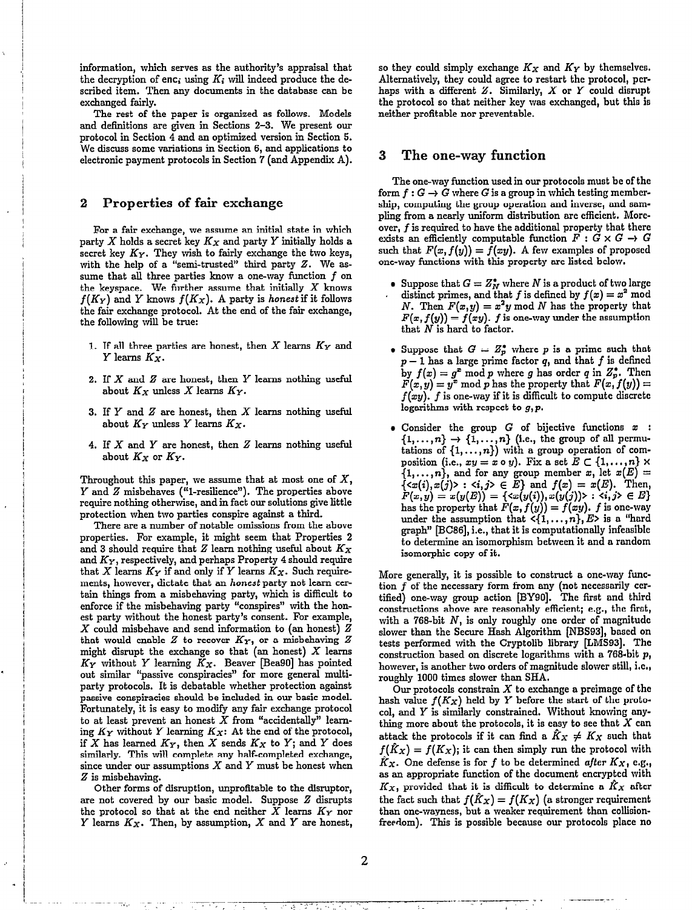information, which serves as the authority's appraisal that the decryption of enc; using  $K_i$  will indeed produce the described item. Then any documents in the database can be exchanged fairly.

The rest of the paper is organized as follows. Models and definitions are given in Sections 2-3. We present our protocol in Section 4 and an optimized version in Section 5. We discuss some variations in Section 6, and applications to electronic payment protocols in Section 7 (and Appendix A).

#### **2 Properties of fair exchange**

For a fair exchange, we assume an initial state in which party X holds a secret key *Kx* and party Y initially holds a secret key *Ky.* They wish to fairly exchange the two keys, with the help of a "semi-trusted" third party  $Z$ . We assume that all three parties know a one-way function f on the keyspace. We further assume that initially  $X$  knows  $f(K_Y)$  and Y knows  $f(K_X)$ . A party is *honest* if it follows the fair exchange protocol. At the end of the fair exchange, the following will be true:

- 1. If all three parties are honest, then X learns *Ky* and Y learns *Kx.*
- 2. If  $X$  and  $Z$  are honest, then  $Y$  learns nothing useful about *KX unless X* learns *KY.*
- 3. If  $Y$  and  $Z$  are honest, then  $X$  learns nothing useful about *Ky unless Y* learns *Kx.*
- 4. If  $X$  and  $Y$  are honest, then  $Z$  learns nothing useful about  $K_X$  or  $K_Y$ .

Throughout this paper, we assume that at most one of  $X$ , Y and 2 misbehaves ("l-resilience"). The properties above require nothing otherwise, and in fact our solutions give little protection when two parties conspire against a third.

There are a number of notable omissions from the above properties. For example, it might seem that Properties 2 and 3 should require that 2 learn nothing useful about *Kx*  and *Ky,* respectively, and perhaps Property 4 should require that  $X$  learns  $K_Y$  if and only if  $Y$  learns  $K_X$ . Such requirements, however, dictate that an honest party not learn certain things from a misbehaving party, which is difficult to enforce if the misbehaving party "conspires" with the honest party without the honest party's consent. For example,  $X$  could misbehave and send information to (an honest)  $Z$ that would enable  $Z$  to recover  $K_Y$ , or a misbehaving  $Z$ might disrupt the exchange so that (an honest)  $X$  learns  $K_Y$  without Y learning  $K_X$ . Beaver [Bea90] has pointed out similar 'passive conspiracies" for more general multiparty protocols. It is debatable whether protection against passive conspiracies should be included in our basic model. Fortunately, it is easy to modify any fair exchange protocol to at least prevent an honest  $X$  from "accidentally" learning *Ky* without Y learning *Kx:* At the end of the protocol, if X has learned  $K_Y$ , then X sends  $K_X$  to Y; and Y does similarly. This will complete any half-completed exchange, since under our assumptions  $X$  and  $Y$  must be honest when  $Z$  is misbehaving.

Other forms of disruption, unprofitable to the disruptor, are not covered by our basic model. Suppose  $Z$  disrupts the protocol so that at the end neither X learns *Ky* nor  $Y$  learns  $K_X$ . Then, by assumption,  $X$  and  $Y$  are honest, so they could simply exchange  $K_X$  and  $K_Y$  by themselves. Alternatively, they could agree to restart the protocol, perhaps with a different  $Z$ . Similarly,  $X$  or  $Y$  could disrupt the protocol so that neither key was exchanged, but this is neither profitable nor preventable.

# **3 The one-way function**

The one-way function usedin our protocols must be of the form  $f: G \to G$  where G is a group in which testing membership, computing the group operation and inverse, and sampling from a nearly uniform distribution are efficient. Moreover, f is required to have the additional property that there exists an efficiently computable function  $F : G \times G \rightarrow G$ such that  $F(x, f(y)) = f(xy)$ . A few examples of proposed one-way functions with this property are listed below.

- Suppose that  $G = Z_N^*$  where N is a product of two large distinct primes, and that f is defined by  $f(x) = x^2$  mod N. Then  $F(x,y) = x^2y \mod N$  has the property that  $F(x, f(y)) = f(xy)$ . f is one-way under the assumption that  $N$  is hard to factor.
- Suppose that  $G = Z_p^*$  where p is a prime such that  $p-1$  has a large prime factor  $q$ , and that  $f$  is defined by  $f(x) = g^x \mod p$  where g has order q in  $Z_p^*$ . Then  $F(x, y) = y^x \mod p$  has the property that  $F(x, f(y)) =$  $f(xy)$ .  $f$  is one-way if it is difficult to compute discrete logarithms with respect to *g,p.*
- $\bullet$  Consider the group  $G$  of bijective functions  $x$  :  $\{1,\ldots,n\} \rightarrow \{1,\ldots,n\}$  (i.e., the group of all permutations of  $\{1, \ldots, n\}$  with a group operation of composition (i.e.,  $xy = x \circ y$ ). Fix a set  $E \subset \{1, ..., n\} \times$  $n$ , and for any group member  $x$ , let  $x(E) =$  $\{ \langle x(i), x(j) \rangle : \langle i, j \rangle \in E \}$  and  $f(x) = x(E)$ . Then,  $F(x,y) = x(y(E)) = \{ \langle x(y(i)),x(y(j)) \rangle : \langle i,j \rangle \in E \}$ has the property that  $F(x, f(y)) = f(xy)$ . f is one-way under the assumption that  $\langle \{1,\ldots,n\}, E \rangle$  is a "hard graph" [BC86], i.e., that it is computationally infeasible to determine an isomorphism between it and a random isomorphic copy of it.

More generally, it is possible to construct a one-way function f of the necessary form from any (not necessarily certified) one-way group action [BYgO]. The first and third constructions above are reasonably efficient; e.g., the first, with a 768-bit  $N$ , is only roughly one order of magnitude slower than the Secure Hash Algorithm [NBS93], based on tests performed with the Cryptolib library [LMS93]. The construction based *on* discrete logarithms with a 768.bit *p,*  however, is another two orders of magnitude slower still, i,e,, roughly 1000 times slower than SHA.

Our protocols constrain  $X$  to exchange a preimage of the hash value  $f(K_X)$  held by Y before the start of the protocol, and Y is similarly constrained. Without knowing anything more about the protocols, it is easy to see that  $X$  can attack the protocols if it can find a  $\tilde{K}_X \neq K_X$  such that  $f(K_X) = f(K_X)$ ; it can then simply run the protocol with  $\hat{K}_X$ . One defense is for f to be determined after  $K_{X_1}$  e.g., as an appropriate function of the document encrypted with  $K_X$ , provided that it is difficult to determine a  $K_X$  after the fact such that  $f(\hat{K}_X) = f(K_X)$  (a stronger requirement than one-wayness, but a weaker requirement than colllsionfreedom). This is possible because our protocols place no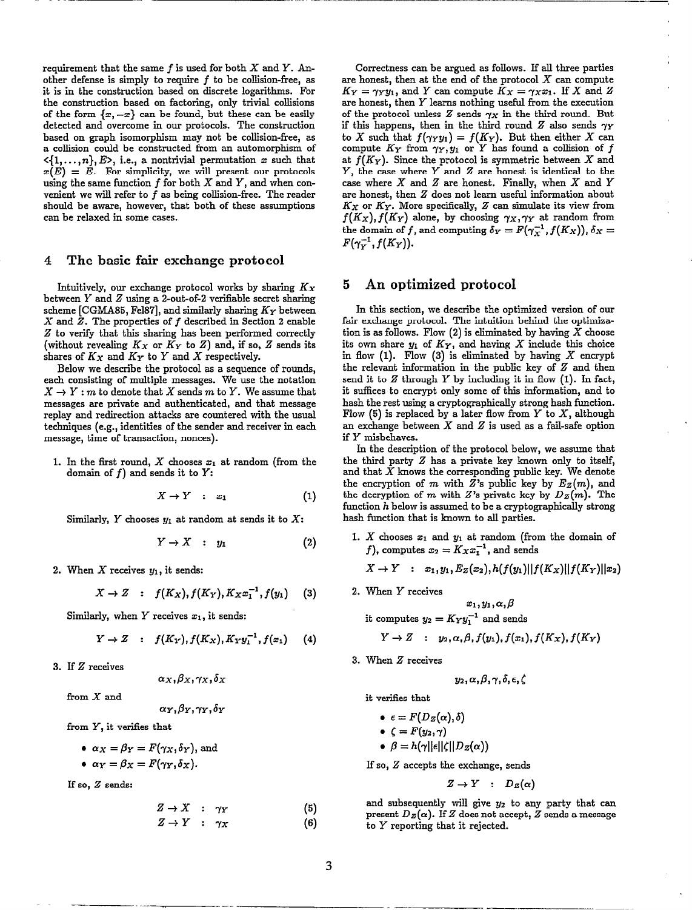requirement that the same  $f$  is used for both  $X$  and  $Y$ . Another defense is simply to require  $f$  to be collision-free, as it is in the construction based on discrete logarithms. For the construction based on factoring, only trivial collisions of the form  $\{x, -x\}$  can be found, but these can be easily detected and overcome in our protocols. The construction based on graph isomorphism may not be collision-free, as a collision could be constructed from an automorphism of  $\{1,\ldots,n\},E$ , i.e., a nontrivial permutation x such that  $x(E) = E$ . For simplicity, we will present our protocols using the same function  $f$  for both  $X$  and  $Y$ , and when convenient we will refer to  $f$  as being collision-free. The reader should be aware, however, that both of these assumptions can be relaxed in some cases.

### **4 The basic fair exchange protocol**

Intuitively, our exchange protocol works by sharing  $K_X$ between  $Y$  and  $Z$  using a 2-out-of-2 verifiable secret sharing scheme [CGMA85, Fel87], and similarly sharing  $K_Y$  between  $X$  and  $Z$ . The properties of  $f$  described in Section 2 enable 2 to verify that this sharing has been performed correctly (without revealing  $K_X$  or  $K_Y$  to  $Z$ ) and, if so,  $Z$  sends its shares of *Kx* and *KY* to Y and X respectively.

Below we describe the protocol as a sequence of rounds, each consisting of multiple messages. We use the notation  $X \to Y : m$  to denote that X sends m to Y. We assume that messages are private and authenticated, and that message replay and redirection attacks are countered with the usual techniques (e.g., identities of the sender and receiver in each message, time of transaction, nonces).

1. In the first round,  $X$  chooses  $x_1$  at random (from the domain of  $f$ ) and sends it to  $Y$ :

$$
X \to Y : x_1 \tag{1}
$$

Similarly, Y chooses  $y_1$  at random at sends it to  $X$ :

$$
Y \to X \quad : \quad y_1 \tag{2}
$$

2. When  $X$  receives  $y_1$ , it sends:

$$
X \to Z \; : \; f(K_X), f(K_Y), K_X x_1^{-1}, f(y_1) \quad (3)
$$

Similarly, when Y receives  $x_1$ , it sends:

$$
Y \to Z \quad : \quad f(K_Y), f(K_X), K_Y y_1^{-1}, f(x_1) \qquad (4)
$$

**3.** If Z receives

$$
\alpha_X, \beta_X, \gamma_X, \delta_X
$$

from X and

$$
\alpha_Y, \beta_Y, \gamma_Y, \delta_Y
$$

from Y, it verifies that

• 
$$
\alpha_X = \beta_Y = F(\gamma_X, \delta_Y)
$$
, and

$$
\bullet \ \alpha_Y = \beta_X = F(\gamma_Y, \delta_X).
$$

If so, z sends:

$$
Z \to X : \gamma_Y
$$
  
\n
$$
Z \to Y : \gamma_X
$$
  
\n(5)  
\n(6)

$$
Y : \gamma_X \qquad (6)
$$

Correctness can be argued as follows. If all three parties are honest, then at the end of the protocol  $X$  can compute  $K_Y = \gamma_Y y_1$ , and Y can compute  $K_X = \gamma_X x_1$ . If X and Z are honest, then Y learns nothing useful from the execution of the protocol unless  $Z$  sends  $\gamma_X$  in the third round. But if this happens, then in the third round  $Z$  also sends  $\gamma_Y$ to X such that  $f(\gamma_Y y_1) = f(K_Y)$ . But then either X can compute  $K_Y$  from  $\gamma_Y, y_1$  or Y has found a collision of f at  $f(K_Y)$ . Since the protocol is symmetric between  $X$  and  $Y$ , the case where  $Y$  and  $Z$  are honest is identical to the case where  $X$  and  $Z$  are honest. Finally, when  $X$  and  $Y$ are honest, then Z does not learn useful information about *KX* or *KY.* More specifically, Z can simulate its view from  $f(K_X)$ ,  $f(K_Y)$  alone, by choosing  $\gamma_X, \gamma_Y$  at random from the domain of f, and computing  $\delta_Y = F(\gamma_X^{-1}, f(K_X)), \delta_X =$  $F(\gamma_Y^{-1}, f(K_Y)).$ 

## **5 An optimized protocol**

In this section, we describe the optimized version of our fair exchange protocol. The intuition behind the optimization is as follows. Flow  $(2)$  is eliminated by having  $X$  choose its own share  $y_1$  of  $K_Y$ , and having  $X$  include this choice in flow (1). Flow (3) is eliminated by having  $X$  encrypt the relevant information in the public key of  $Z$  and then send it to  $Z$  through  $Y$  by including it in flow  $(1)$ . In fact, it suflices to encrypt only some of this information, and to hash the rest using a cryptographically strong hash function. Flow  $(5)$  is replaced by a later flow from Y to X, although an exchange between  $X$  and  $Z$  is used as a fail-safe option if Y misbehaves.

In the description of the protocol below, we assume that the third party Z has a private key known only to itself, and that  $X$  knows the corresponding public key. We denote the encryption of m with  $Z$ 's public key by  $E_Z(m)$ , and the decryption of m with Z's private key by  $D_z(m)$ . The function h below is assumed to be *a* cryptographically strong hash function that is lmown to all parties.

1. X chooses  $x_1$  and  $y_1$  at random (from the domain of f), computes  $x_2 = K_X x_1^{-1}$ , and sends

$$
X \to Y \quad : \quad x_1, y_1, E_Z(x_2), h(f(y_1)||f(K_X)||f(K_Y)||x_2)
$$

**2.** When Y receives

$$
u_1, y_1, \alpha, \beta
$$
  
it computes  $y_2 = K_Y y_1^{-1}$  and sends

$$
Y \rightarrow Z \quad : \quad y_2, \alpha, \beta, f(y_1), f(x_1), f(K_X), f(K_Y)
$$

 $x_i, y_i \sim \beta$ 

**3.** When Z receives

$$
y_2, \alpha, \beta, \gamma, \delta, \epsilon, \zeta
$$

it verifies that

$$
\bullet \ \epsilon = F(D_Z(\alpha), \delta)
$$

$$
\bullet \ \ \zeta = F(y_2, \gamma)
$$

$$
\bullet \ \beta = h(\gamma ||\epsilon||\zeta||D_{Z}(\alpha))
$$

If so, Z accepts the exchange, sends

$$
Z \to Y \quad : \quad D_Z(\alpha)
$$

and subsequently will give  $y_2$  to any party that can present  $D_z(\alpha)$ . If Z does not accept, Z sends a message to Y reporting that it rejected.

-- \_\_\_\_\_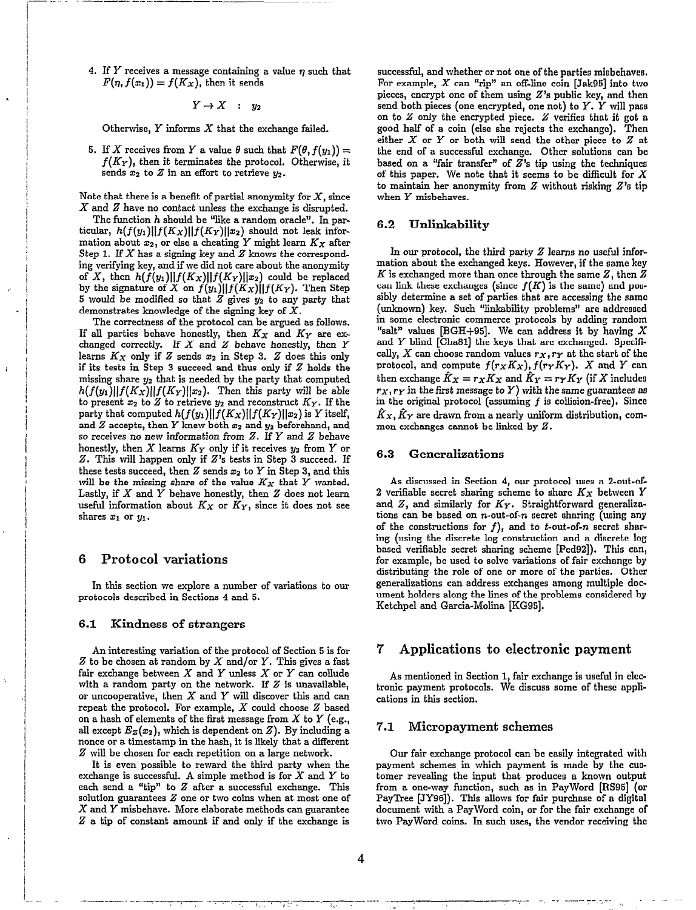4. If  $Y$  receives a message containing a value  $\eta$  such that  $F(\eta, f(x_1)) = f(K_X)$ , then it sends

 $Y \rightarrow X$  :  $y_2$ 

Otherwise,  $Y$  informs  $X$  that the exchange failed.

5. If X receives from Y a value  $\theta$  such that  $F(\theta, f(y_1)) =$  $f(K_Y)$ , then it terminates the protocol. Otherwise, it sends  $x_2$  to Z in an effort to retrieve  $y_2$ .

Note that there is a benefit of partial anonymity for  $X$ , since X and Z have no contact unless the exchange *is* disrupted.

The function h should be "like a random oracle". In particular,  $h(f(y_1)||f(K_X)||f(K_Y)||x_2)$  should not leak information about  $x_2$ , or else a cheating Y might learn  $K_X$  after Step 1. If  $X$  has a signing key and  $Z$  knows the corresponding verifying key, and if we did not care about the anonymity of X, then  $h(f(y_1)||f(K_X)||f(K_Y)||x_2)$  could be replaced by the signature of X on  $f(y_1)||f(K_X)||f(K_Y)$ . Then Step 5 would be modified so that  $Z$  gives  $y_2$  to any party that demonstrates knowledge of the signing key of  $X$ .

The correctness of the protocol can be argued as follows. If all parties behave honestly, then  $K_X$  and  $K_Y$  are exchanged correctly. If  $X$  and  $Z$  behave honestly, then  $Y$ learns  $K_X$  only if  $Z$  sends  $x_2$  in Step 3.  $Z$  does this only if its tests in Step 3 succeed and thus only if Z holds the missing share  $y_2$  that is needed by the party that computed  $h(f(y_1)||f(K_X)||f(K_Y)||x_2)$ . Then this party will be able to present  $x_2$  to  $Z$  to retrieve  $y_2$  and reconstruct  $K_Y$ . If the party that computed  $h(f(y_1)||f(K_X)||f(K_Y)||x_2)$  is Y itself, and  $Z$  accepts, then  $Y$  knew both  $x_2$  and  $y_2$  beforehand, and so receives no *new* information from Z. If Y and Z behave honestly, then X learns  $K_Y$  only if it receives  $y_2$  from Y or Z. This will happen only if Z's tests in Step 3 succeed. If these tests succeed, then  $Z$  sends  $x_2$  to  $Y$  in Step 3, and this will be the missing share of the value  $K_X$  that  $Y$  wanted. Lastly, if  $X$  and  $Y$  behave honestly, then  $Z$  does not learn useful information about  $K_X$  or  $K_Y$ , since it does not see shares  $x_1$  or  $y_1$ .

# **6 Protocol variations**

In this section we explore a number of variations to our protocols described in Sections 4 and 5.

#### **6.1 Kindness of strangers**

An interesting variation of the protocol of Section 5 is for  $Z$  to be chosen at random by  $X$  and/or  $Y$ . This gives a fast fair exchange between  $X$  and  $Y$  unless  $X$  or  $Y$  can collude with a random party on the network. If  $Z$  is unavailable, or uncooperative, then  $X$  and  $Y$  will discover this and can repeat the protocol. For example,  $X$  could choose  $Z$  based on a hash of elements of the first message from X to Y (e.g., all except  $E_Z(x_2)$ , which is dependent on Z). By including a nonce or a timestamp in the hash, it is likely that a different Z will be chosen for each repetition on a large network.

It is even possible to reward the third party when the exchange is successful. A simple method is for  $X$  and  $Y$  to each send a "tip" to Z after a successful exchange. This solution guarantees  $Z$  one or two coins when at most one of  $X$  and  $Y$  misbehave. More elaborate methods can guarantee Z a tip of constant amount if and only if the exchange is

-\_\_-1- ---"----?-- .----L--.-Ie. .------\*-- .--\_. -.

successful, and whether or not one of the parties misbehaves. For example,  $X$  can "rip" an off-line coin [Jak95] into two pieces, encrypt one of them using Z's public key, and then send both pieces (one encrypted, one not) to  $Y$ .  $Y$  will pass on to  $Z$  only the encrypted piece.  $Z$  verifies that it got a good half of a coin (else she rejects the exchange). Then either  $X$  or  $Y$  or both will send the other piece to  $Z$  at the end of a successful exchange. Other solutions can be based on a "fair transfer" of  $\overline{Z}$ 's tip using the techniques of this paper. We note that it seems to be difficult for  $X$ to maintain her anonymity from Z without risking Z'a tip when Y misbehaves.

# **6.2 Unlinkability**

In our protocol, the third party  $Z$  learns no useful information about the exchanged keys. However, if the same key *K* is exchanged more than once through the same Z, then Z can link these exchanges (since  $f(K)$  is the same) and possibly determine a set of parties that are accessing the same (unknown) key. Such "linkability problems" are addressed in some electronic commerce protocols by adding random "salt" values [BGH+95]. We can address it by having X and Y blind [Cha81] the keys that are exchanged. Specifically,  $X$  can choose random values  $r_X, r_Y$  at the start of the protocol, and compute  $f(r_X K_X)$ ,  $f(r_Y K_Y)$ . X and Y can then exchange  $\hat{K}_X = r_X K_X$  and  $\hat{K}_Y = r_Y K_Y$  (if X includes  $r_X, r_Y$  in the first message to Y) with the same guarantees as in the original protocol (assuming  $f$  is collision-free). Since  $\hat{K}_X, \hat{K}_Y$  are drawn from a nearly uniform distribution, common exchanges cannot be linked by Z.

#### **6.3 Generalizations**

As discussed *in* Section 4, our protocol uses a 2-out-of-2 verifiable secret sharing scheme to share *Kx* between Y and Z, and similarly for *Ky.* Straightforward generalizations can be based on n-out-of-n secret sharing (using any of the constructions for  $f$ ), and to  $t$ -out-of-n secret sharing (using the discrete log construction and a discrete log based verifiable secret sharing scheme [Ped92]). This can, for example, be used to solve variations of fair exchange by distributing the role of one or more of the parties. Other generalizations can address exchanges among multiple document holders along the lines of the problems considered by Ketchpel and Garcia-Molina [KG95].

#### **7 Applications to electronic payment**

As mentioned in Section 1, fair exchange is useful in electronic payment protocols. We discuss some of these applications in this section.

#### **7.1 Micropayment schemes**

Our fair exchange protocol can be easily integrated with payment schemes in which payment is made by the cuatomer revealing the input that produces a known output from a one-way function, such as in PayWord [RSSS] (or PayTree [JY96]). This allows for fair purchase of a digital document with a PayWord coin, or for the fair exchange of two PayWord coins. In such uses, the vendor receiving the

-, \_r I--r- ,-;..

. . I.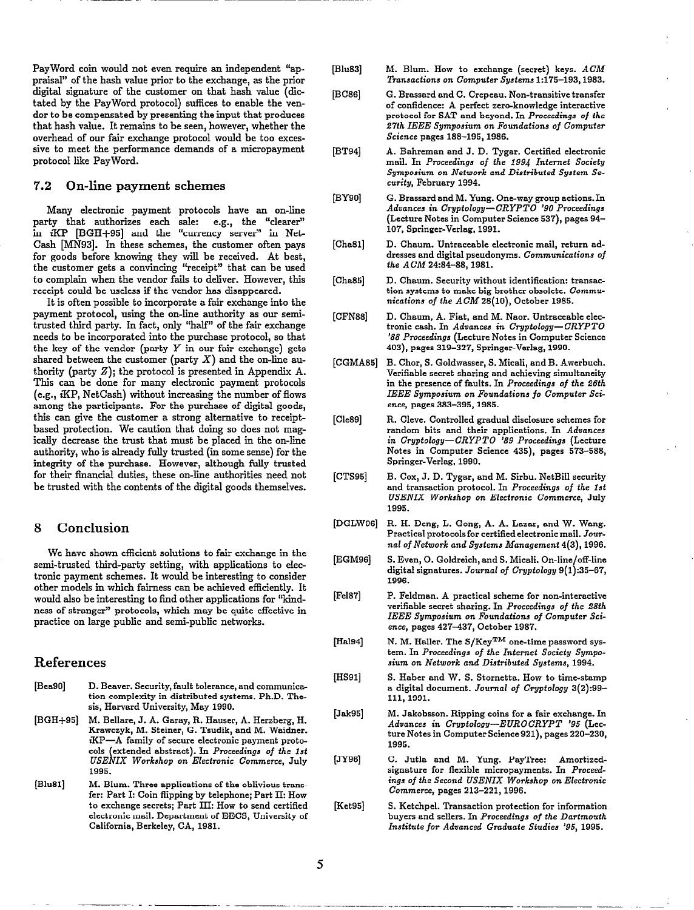PayWord coin would not even require an independent "appraisal" of the hash value prior to the exchange, as the prior digital signature of the customer on that hash value (dictated by the PayWord protocol) suffices to enable the vendor to be compensated by presenting the input that produces that hash value. It remains to be seen, however, whether the overhead of our fair exchange protocol would be too excessive to meet the performance demands of a micropayment protocol like PayWord.

#### *7.2* **On-line payment schemes**

Many electronic payment protocols have an on-line<br>rty that authorizes each sale: e.g., the "clearer" party that authorizes each sale: in iKP [BGH+95] and the "currency server" in Net-Cash [MN93]. In these schemes, the customer often pays for goods before knowing they will be received. At best, the customer gets a convincing "receipt" that can be used to complain when the vendor fails to deliver. However, this receipt could be useless if the vendor has disappeared.

It is often possible to incorporate a fair exchange into the payment protocol, using the on-line authority as our semitrusted third party. In fact, only "half" of the fair exchange needs to be incorporated into the purchase protocol, so that the key of the vendor (party  $Y$  in our fair exchange) gets shared between the customer (party  $X$ ) and the on-line authority (party  $Z$ ); the protocol is presented in Appendix A. This can be done for many electronic payment protocols (e.g., *iKP*, NetCash) without increasing the number of flows among the participants. For the purchase of digital goods, this can give the customer a strong alternative to receiptbased protection. We caution that doing so does not magically decrease the trust that must be placed in the on-line authority, who is already fully trusted (in some sense) for the integrity of the purchase. However, although fully trusted for their financial duties, these on-line authorities need not be trusted with the contents of the digital goods themselves.

### **8 Conclusion**

We have shown efficient solutions to fair exchange in the semi-trusted third-party setting, with applications to electronic payment schemes. It would be interesting to consider other models in which fairness can be achieved efficiently. It would also be interesting to find other applications for "kindness of stranger" protocols, which may be quite effective in practice on large public and semi-public networks.

# **References**

- [Bea90] D. Beaver. Security, fault tolerance, and communication complexity in distributed systems. Ph.D. Thesis, Harvard University, May 1990.
- [BGH+95] M. Bellare, J. A. Garay, R. Hauser, A. Herzberg, H. Krawczyk, M. Steiner, G. Tsudik, and M. Waidner. XP-A family of secure electronic payment protocols (extended abstract). In Proceedings of the 1st *USENIX Workshop on Electronic Commerce,* July 1995.
- [Blu81] M. Blum. Three applications of the oblivious transfer: Part I: Coin flipping by telephone; Part II: How to exchange secrets; Part III: How to send certified electronic mail. Department of EECS, University of California, Berkeley, CA, 1981.
- (Blu83] M. Blum. How to exchange (secret) keys. ACM *Transactions on Computer Systems* 1:175-193,1983.
- [BC86] G. Brassard and C. Crepeau. Non-transitive transfer of confidence: A perfect zero-knowledge interactive protocol for SAT and beyond. In *Proceedings of the 27th IEEE Symposium on Foundations of Computer*  Science pages 188-195,1986.
- [BT94] A. Bahreman and J. D. Tygar. Certified electronic mail. *In Proceedings of the 199.4 Internet Society Symposium on Network and Distributed System Se*curity, February 1994.
- [BY90] G. Bressard and M. Yung. One-way group actions.In *Advances in Cryptology-CRYPT0 '90 Proceedings*  (Lecture Notes in Computer Science 537), pages 94- 107, Springer-Verlag, 1991.
- [ChaSl] D. Chaum. Untraceable electronic mail, return addresses and digital pseudonyms. *Communications of the ACM 24~84-88,* 1981.
- [Cha85] D. Chaum. Security without identification: transaction systems to make big brother obsolete. Commu*nications* of *the ACM* 28(10), October 1985.
- [CFN88] D. Chaum, A. Fiat, and M. Naor. Untraceable electronic cash. *In Advances in Cryptology-CRYPT0 '88 Proceedings* (Lecture Notes in Computer Science 403), pages 319-327, Springer-Verlag, 1990.
- [CGMA85] B. Chor, S. Goldwasser, S. Micali, and B. Awerbuch. Verifiable secret sharing and achieving simultaneity in the presence of faults. *In Proceedings of the 26th IEEE Symposium on Foundations fo Computer Science,* pages 383-395,1985.
- [Cle89] R. Cleve. Controlled gradual disclosure schemes for random bits and their applications. *In Advances in Cryptology-CRYPT0 '89 Proceedings* (Lecture Notes in Computer Science 435), pages 573-588, Springer-Verlag, 1990.
- [CTS95] B. Cox, J. D. Tygar, and M. Sirbu. NetBill security and transaction protocol. *In Proceedings of the fst USENIX Workshop on Electronic Commerce,* July 1995.
- (DGLW96] R. H. Deng, L. Gong, A. A. Lazar, and W. Wang. Practical protocols for certified electronic mail. Jour*nal of Network and Systems Management 4(3),* 1996.
- [EGM96] S. Even, 0. Goldreich, and S. Micah. On-line/off-line digital signatures. *Journal of Cryptology* 9(1):35-67, 1996.
- [Fel87] P. Feldman. A practical scheme for non-interactive verifiable secret sharing. *In Proceedings of the 28th IEEE Symposium on Foundations of Computer Sci*ence, pages 427-437, October 1987.
- [Hal94] N. M. Haller. The S/Key<sup>TM</sup> one-time password system. *In Proceedings of the Internet Society Symposium on Network and Distributed Systems,* 1994.
- [HS91] S. Haber and W. S. Stornetta. How to time-stamp a digital document. *Journal of Cryptology 3(2):99-*  111,199l.
- [Jak95] M. Jakobsson. Ripping coins for a fair exchange. In *Advances in Cryptology-EUROCRYPT '95* (Lecture Notes in Computer Science 921), pages 220-230, 1995.
- [JY96] C. Jutla and M. *Yung.* PayTree: Amortizedsignature for flexible micropayments. In *Proceedings of the Second USENIX Workshop on Electronic Commerce,* pages 213-221,1996.
- $[Ket95]$ S. Ketchpel. Transaction protection for information buyers and sellers. *In Proceedings of the Dartmouth Institute for Advanced Graduate Studies '95,* 1995.